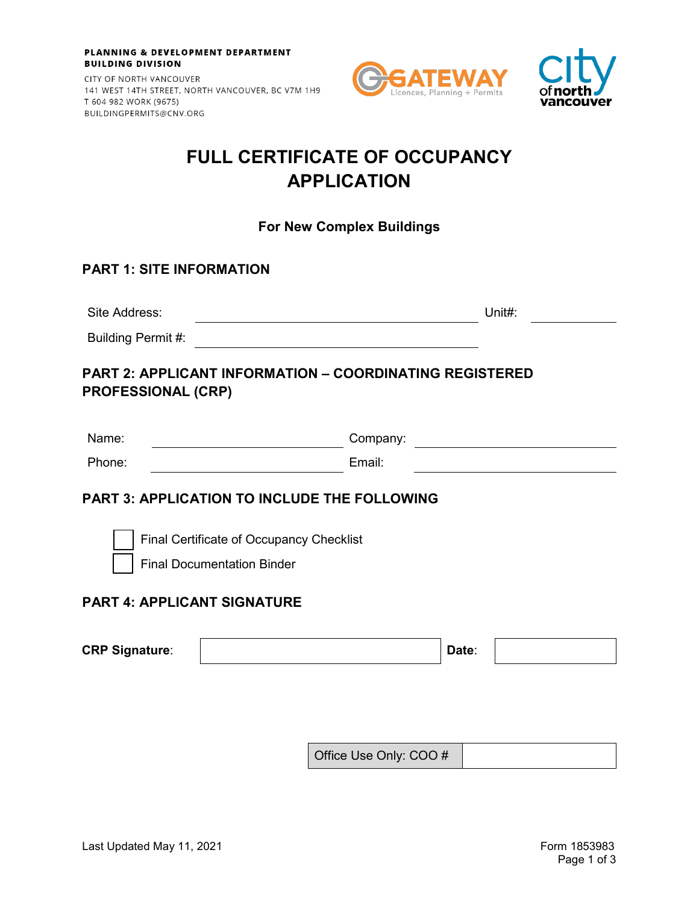CITY OF NORTH VANCOUVER 141 WEST 14TH STREET, NORTH VANCOUVER, BC V7M 1H9 T 604 982 WORK (9675) BUILDINGPERMITS@CNV.ORG





## **FULL CERTIFICATE OF OCCUPANCY APPLICATION**

**For New Complex Buildings**

## **PART 1: SITE INFORMATION**

| Site Address: | .<br>. |  |
|---------------|--------|--|
|               |        |  |

**PART 2: APPLICANT INFORMATION – COORDINATING REGISTERED** 

### **PROFESSIONAL (CRP)**

Building Permit #:

| Name:  | Company: |
|--------|----------|
| Phone: | Email:   |

### **PART 3: APPLICATION TO INCLUDE THE FOLLOWING**

Final Certificate of Occupancy Checklist

Final Documentation Binder

### **PART 4: APPLICANT SIGNATURE**

| <b>CRP Signature:</b> | Date. |  |
|-----------------------|-------|--|

Office Use Only: COO #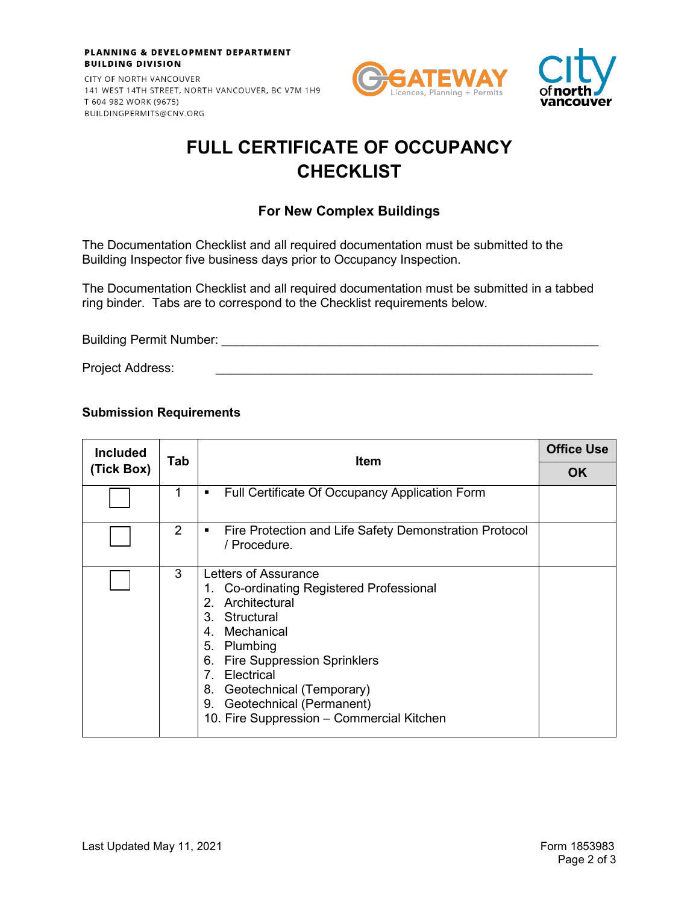CITY OF NORTH VANCOUVER 141 WEST 14TH STREET, NORTH VANCOUVER, BC V7M 1H9 T 604 982 WORK (9675) BUILDINGPERMITS@CNV.ORG





# **FULL CERTIFICATE OF OCCUPANCY CHECKLIST**

### **For New Complex Buildings**

The Documentation Checklist and all required documentation must be submitted to the Building Inspector five business days prior to Occupancy Inspection.

The Documentation Checklist and all required documentation must be submitted in a tabbed ring binder. Tabs are to correspond to the Checklist requirements below.

Building Permit Number: **We are all that the end of the end of the end of the end** of the end of the end of the e

Project Address:

#### **Submission Requirements**

| <b>Included</b> | Tab | <b>Item</b>                                                                                                                                                                                                                                                                                                                                              | <b>Office Use</b> |
|-----------------|-----|----------------------------------------------------------------------------------------------------------------------------------------------------------------------------------------------------------------------------------------------------------------------------------------------------------------------------------------------------------|-------------------|
| (Tick Box)      |     |                                                                                                                                                                                                                                                                                                                                                          | <b>OK</b>         |
|                 | 1   | Full Certificate Of Occupancy Application Form<br>٠                                                                                                                                                                                                                                                                                                      |                   |
|                 | 2   | Fire Protection and Life Safety Demonstration Protocol<br>п<br>/ Procedure.                                                                                                                                                                                                                                                                              |                   |
|                 | 3   | Letters of Assurance<br>1. Co-ordinating Registered Professional<br>Architectural<br>2.<br>3. Structural<br>Mechanical<br>4.<br>5. Plumbing<br><b>Fire Suppression Sprinklers</b><br>6.<br>$7_{\scriptscriptstyle{\sim}}$<br>Electrical<br>Geotechnical (Temporary)<br>8.<br>Geotechnical (Permanent)<br>9.<br>10. Fire Suppression - Commercial Kitchen |                   |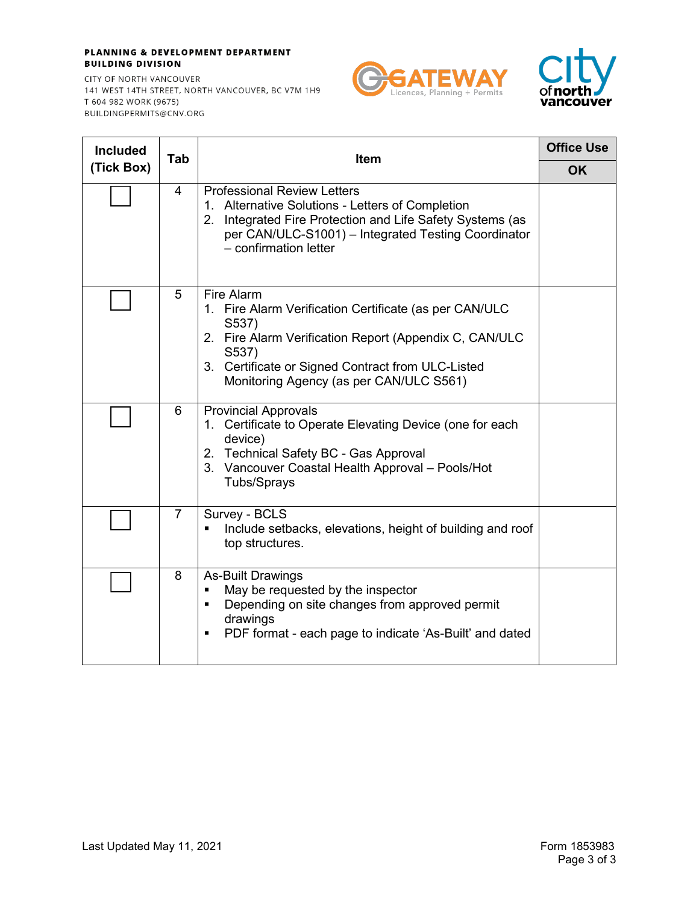CITY OF NORTH VANCOUVER 141 WEST 14TH STREET, NORTH VANCOUVER, BC V7M 1H9 T 604 982 WORK (9675) BUILDINGPERMITS@CNV.ORG





| <b>Included</b> | Tab            | <b>Item</b>                                                                                                                                                                                                                                      | <b>Office Use</b> |
|-----------------|----------------|--------------------------------------------------------------------------------------------------------------------------------------------------------------------------------------------------------------------------------------------------|-------------------|
| (Tick Box)      |                |                                                                                                                                                                                                                                                  | <b>OK</b>         |
|                 | 4              | <b>Professional Review Letters</b><br>1. Alternative Solutions - Letters of Completion<br>Integrated Fire Protection and Life Safety Systems (as<br>2.<br>per CAN/ULC-S1001) - Integrated Testing Coordinator<br>- confirmation letter           |                   |
|                 | 5              | Fire Alarm<br>1. Fire Alarm Verification Certificate (as per CAN/ULC<br>S537)<br>2. Fire Alarm Verification Report (Appendix C, CAN/ULC<br>S537)<br>3. Certificate or Signed Contract from ULC-Listed<br>Monitoring Agency (as per CAN/ULC S561) |                   |
|                 | 6              | <b>Provincial Approvals</b><br>1. Certificate to Operate Elevating Device (one for each<br>device)<br>2. Technical Safety BC - Gas Approval<br>3. Vancouver Coastal Health Approval - Pools/Hot<br>Tubs/Sprays                                   |                   |
|                 | $\overline{7}$ | Survey - BCLS<br>Include setbacks, elevations, height of building and roof<br>top structures.                                                                                                                                                    |                   |
|                 | 8              | <b>As-Built Drawings</b><br>May be requested by the inspector<br>Ξ<br>Depending on site changes from approved permit<br>٠<br>drawings<br>PDF format - each page to indicate 'As-Built' and dated<br>٠                                            |                   |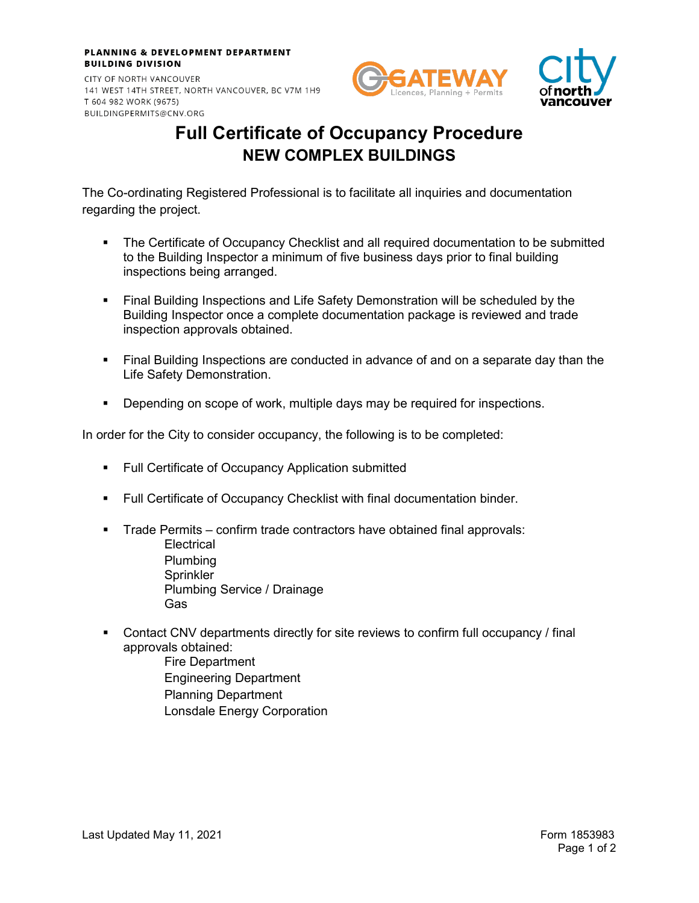CITY OF NORTH VANCOUVER 141 WEST 14TH STREET, NORTH VANCOUVER, BC V7M 1H9 T 604 982 WORK (9675) BUILDINGPERMITS@CNV.ORG





# **Full Certificate of Occupancy Procedure NEW COMPLEX BUILDINGS**

The Co-ordinating Registered Professional is to facilitate all inquiries and documentation regarding the project.

- The Certificate of Occupancy Checklist and all required documentation to be submitted to the Building Inspector a minimum of five business days prior to final building inspections being arranged.
- Final Building Inspections and Life Safety Demonstration will be scheduled by the Building Inspector once a complete documentation package is reviewed and trade inspection approvals obtained.
- Final Building Inspections are conducted in advance of and on a separate day than the Life Safety Demonstration.
- **Depending on scope of work, multiple days may be required for inspections.**

In order for the City to consider occupancy, the following is to be completed:

- **Full Certificate of Occupancy Application submitted**
- Full Certificate of Occupancy Checklist with final documentation binder.
- **Trade Permits confirm trade contractors have obtained final approvals: Electrical** Plumbing Sprinkler Plumbing Service / Drainage Gas
- Contact CNV departments directly for site reviews to confirm full occupancy / final approvals obtained:
	- Fire Department Engineering Department Planning Department Lonsdale Energy Corporation